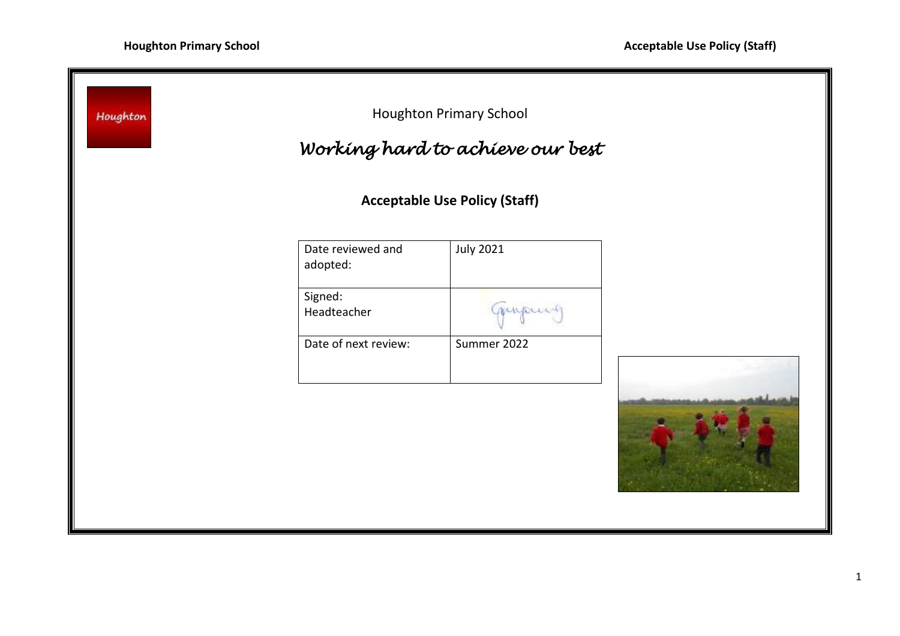| Houghton |                               | <b>Houghton Primary School</b><br>Working hard to achieve our best |  |
|----------|-------------------------------|--------------------------------------------------------------------|--|
|          |                               | <b>Acceptable Use Policy (Staff)</b>                               |  |
|          | Date reviewed and<br>adopted: | <b>July 2021</b>                                                   |  |
|          | Signed:<br>Headteacher        | Guyouit                                                            |  |
|          | Date of next review:          | Summer 2022                                                        |  |
|          |                               |                                                                    |  |

÷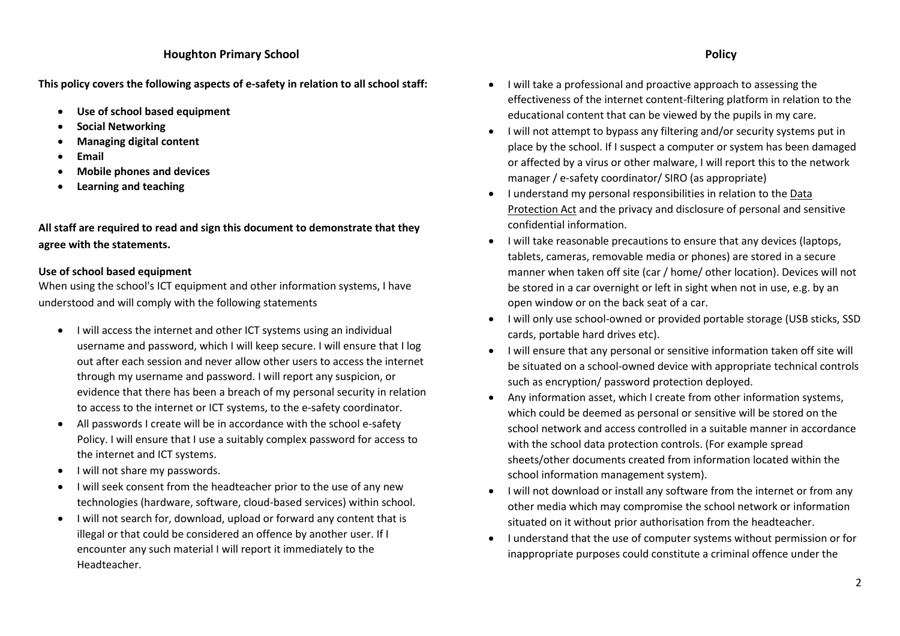## **Houghton Primary School Policy**

**This policy covers the following aspects of e-safety in relation to all school staff:**

- **Use of school based equipment**
- **Social Networking**
- **Managing digital content**
- **Email**
- **Mobile phones and devices**
- **Learning and teaching**

**All staff are required to read and sign this document to demonstrate that they agree with the statements.**

# **Use of school based equipment**

When using the school's ICT equipment and other information systems, I have understood and will comply with the following statements

- I will access the internet and other ICT systems using an individual username and password, which I will keep secure. I will ensure that I log out after each session and never allow other users to access the internet through my username and password. I will report any suspicion, or evidence that there has been a breach of my personal security in relation to access to the internet or ICT systems, to the e-safety coordinator.
- All passwords I create will be in accordance with the school e-safety Policy. I will ensure that I use a suitably complex password for access to the internet and ICT systems.
- I will not share my passwords.
- I will seek consent from the headteacher prior to the use of any new technologies (hardware, software, cloud-based services) within school.
- I will not search for, download, upload or forward any content that is illegal or that could be considered an offence by another user. If I encounter any such material I will report it immediately to the Headteacher.
- I will take a professional and proactive approach to assessing the effectiveness of the internet content-filtering platform in relation to the educational content that can be viewed by the pupils in my care.
- I will not attempt to bypass any filtering and/or security systems put in place by the school. If I suspect a computer or system has been damaged or affected by a virus or other malware, I will report this to the network manager / e-safety coordinator/ SIRO (as appropriate)
- I understand my personal responsibilities in relation to the [Data](https://www.gov.uk/data-protection/the-data-protection-act)  [Protection Act](https://www.gov.uk/data-protection/the-data-protection-act) and the privacy and disclosure of personal and sensitive confidential information.
- I will take reasonable precautions to ensure that any devices (laptops, tablets, cameras, removable media or phones) are stored in a secure manner when taken off site (car / home/ other location). Devices will not be stored in a car overnight or left in sight when not in use, e.g. by an open window or on the back seat of a car.
- I will only use school-owned or provided portable storage (USB sticks, SSD cards, portable hard drives etc).
- I will ensure that any personal or sensitive information taken off site will be situated on a school-owned device with appropriate technical controls such as encryption/ password protection deployed.
- Any information asset, which I create from other information systems, which could be deemed as personal or sensitive will be stored on the school network and access controlled in a suitable manner in accordance with the school data protection controls. (For example spread sheets/other documents created from information located within the school information management system).
- I will not download or install any software from the internet or from any other media which may compromise the school network or information situated on it without prior authorisation from the headteacher.
- I understand that the use of computer systems without permission or for inappropriate purposes could constitute a criminal offence under the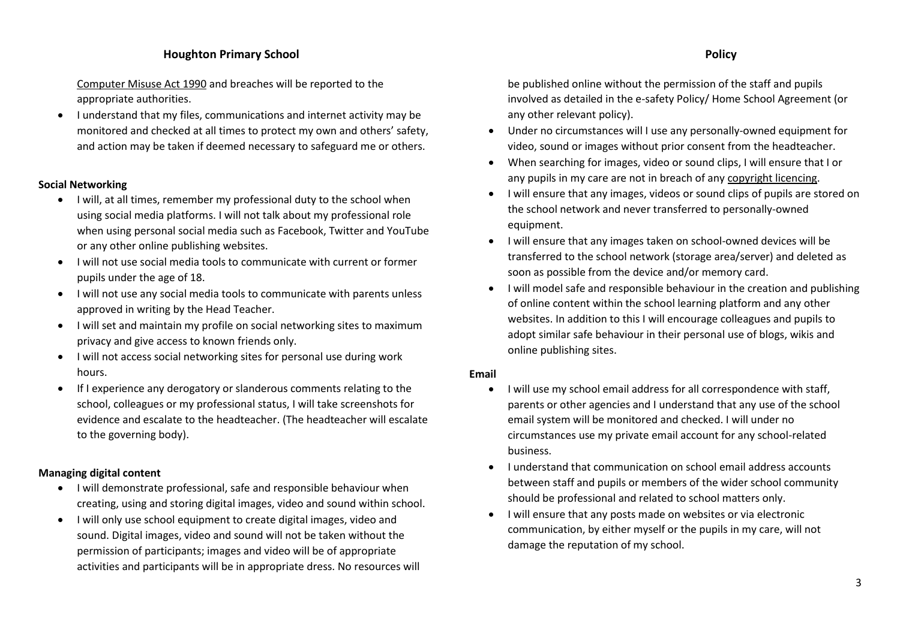# **Houghton Primary School Policy**

[Computer Misuse Act 1990](http://www.cps.gov.uk/legal/a_to_c/computer_misuse_act_1990/) and breaches will be reported to the appropriate authorities.

 I understand that my files, communications and internet activity may be monitored and checked at all times to protect my own and others' safety, and action may be taken if deemed necessary to safeguard me or others.

### **Social Networking**

- I will, at all times, remember my professional duty to the school when using social media platforms. I will not talk about my professional role when using personal social media such as Facebook, Twitter and YouTube or any other online publishing websites.
- I will not use social media tools to communicate with current or former pupils under the age of 18.
- I will not use any social media tools to communicate with parents unless approved in writing by the Head Teacher.
- I will set and maintain my profile on social networking sites to maximum privacy and give access to known friends only.
- I will not access social networking sites for personal use during work hours.
- If I experience any derogatory or slanderous comments relating to the school, colleagues or my professional status, I will take screenshots for evidence and escalate to the headteacher. (The headteacher will escalate to the governing body).

### **Managing digital content**

- I will demonstrate professional, safe and responsible behaviour when creating, using and storing digital images, video and sound within school.
- I will only use school equipment to create digital images, video and sound. Digital images, video and sound will not be taken without the permission of participants; images and video will be of appropriate activities and participants will be in appropriate dress. No resources will

be published online without the permission of the staff and pupils involved as detailed in the e-safety Policy/ Home School Agreement (or any other relevant policy).

- Under no circumstances will I use any personally-owned equipment for video, sound or images without prior consent from the headteacher.
- When searching for images, video or sound clips, I will ensure that I or any pupils in my care are not in breach of an[y copyright licencing.](http://schools.cla.co.uk/)
- I will ensure that any images, videos or sound clips of pupils are stored on the school network and never transferred to personally-owned equipment.
- I will ensure that any images taken on school-owned devices will be transferred to the school network (storage area/server) and deleted as soon as possible from the device and/or memory card.
- I will model safe and responsible behaviour in the creation and publishing of online content within the school learning platform and any other websites. In addition to this I will encourage colleagues and pupils to adopt similar safe behaviour in their personal use of blogs, wikis and online publishing sites.

### **Email**

- I will use my school email address for all correspondence with staff, parents or other agencies and I understand that any use of the school email system will be monitored and checked. I will under no circumstances use my private email account for any school-related business.
- I understand that communication on school email address accounts between staff and pupils or members of the wider school community should be professional and related to school matters only.
- I will ensure that any posts made on websites or via electronic communication, by either myself or the pupils in my care, will not damage the reputation of my school.